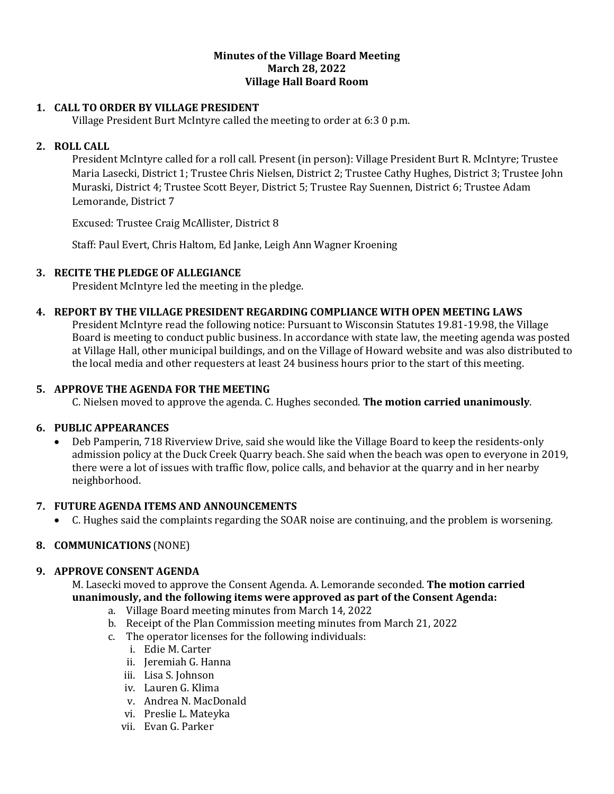### **Minutes of the Village Board Meeting March 28, 2022 Village Hall Board Room**

### **1. CALL TO ORDER BY VILLAGE PRESIDENT**

Village President Burt McIntyre called the meeting to order at 6:3 0 p.m.

### **2. ROLL CALL**

President McIntyre called for a roll call. Present (in person): Village President Burt R. McIntyre; Trustee Maria Lasecki, District 1; Trustee Chris Nielsen, District 2; Trustee Cathy Hughes, District 3; Trustee John Muraski, District 4; Trustee Scott Beyer, District 5; Trustee Ray Suennen, District 6; Trustee Adam Lemorande, District 7

Excused: Trustee Craig McAllister, District 8

Staff: Paul Evert, Chris Haltom, Ed Janke, Leigh Ann Wagner Kroening

### **3. RECITE THE PLEDGE OF ALLEGIANCE**

President McIntyre led the meeting in the pledge.

#### **4. REPORT BY THE VILLAGE PRESIDENT REGARDING COMPLIANCE WITH OPEN MEETING LAWS**

President McIntyre read the following notice: Pursuant to Wisconsin Statutes 19.81-19.98, the Village Board is meeting to conduct public business. In accordance with state law, the meeting agenda was posted at Village Hall, other municipal buildings, and on the Village of Howard website and was also distributed to the local media and other requesters at least 24 business hours prior to the start of this meeting.

### **5. APPROVE THE AGENDA FOR THE MEETING**

C. Nielsen moved to approve the agenda. C. Hughes seconded. **The motion carried unanimously**.

#### **6. PUBLIC APPEARANCES**

• Deb Pamperin, 718 Riverview Drive, said she would like the Village Board to keep the residents-only admission policy at the Duck Creek Quarry beach. She said when the beach was open to everyone in 2019, there were a lot of issues with traffic flow, police calls, and behavior at the quarry and in her nearby neighborhood.

#### **7. FUTURE AGENDA ITEMS AND ANNOUNCEMENTS**

• C. Hughes said the complaints regarding the SOAR noise are continuing, and the problem is worsening.

### **8. COMMUNICATIONS** (NONE)

#### **9. APPROVE CONSENT AGENDA**

M. Lasecki moved to approve the Consent Agenda. A. Lemorande seconded. **The motion carried unanimously, and the following items were approved as part of the Consent Agenda:**

- a. Village Board meeting minutes from March 14, 2022
- b. Receipt of the Plan Commission meeting minutes from March 21, 2022
- c. The operator licenses for the following individuals:
	- i. Edie M. Carter
	- ii. Jeremiah G. Hanna
	- iii. Lisa S. Johnson
	- iv. Lauren G. Klima
	- v. Andrea N. MacDonald
	- vi. Preslie L. Mateyka
	- vii. Evan G. Parker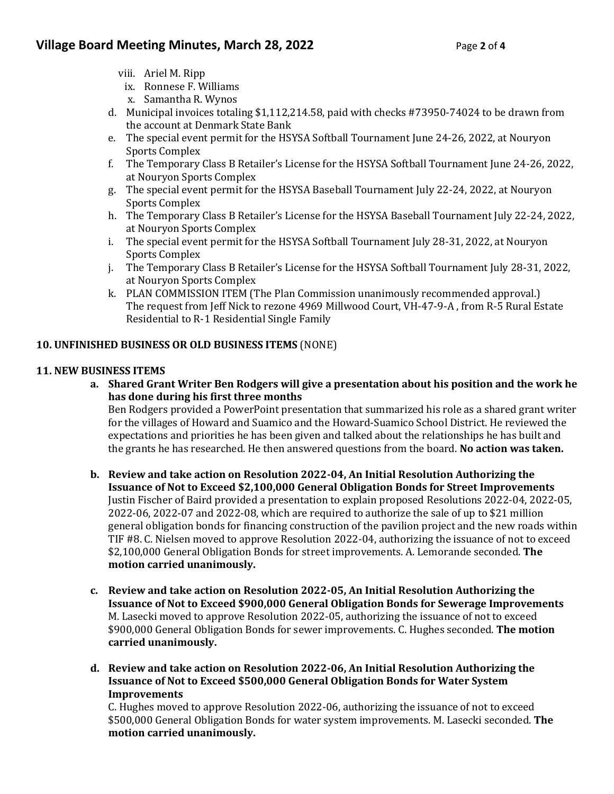- viii. Ariel M. Ripp
- ix. Ronnese F. Williams
- x. Samantha R. Wynos
- d. Municipal invoices totaling \$1,112,214.58, paid with checks #73950-74024 to be drawn from the account at Denmark State Bank
- e. The special event permit for the HSYSA Softball Tournament June 24-26, 2022, at Nouryon Sports Complex
- f. The Temporary Class B Retailer's License for the HSYSA Softball Tournament June 24-26, 2022, at Nouryon Sports Complex
- g. The special event permit for the HSYSA Baseball Tournament July 22-24, 2022, at Nouryon Sports Complex
- h. The Temporary Class B Retailer's License for the HSYSA Baseball Tournament July 22-24, 2022, at Nouryon Sports Complex
- i. The special event permit for the HSYSA Softball Tournament July 28-31, 2022, at Nouryon Sports Complex
- j. The Temporary Class B Retailer's License for the HSYSA Softball Tournament July 28-31, 2022, at Nouryon Sports Complex
- k. PLAN COMMISSION ITEM (The Plan Commission unanimously recommended approval.) The request from Jeff Nick to rezone 4969 Millwood Court, VH-47-9-A , from R-5 Rural Estate Residential to R-1 Residential Single Family

# **10. UNFINISHED BUSINESS OR OLD BUSINESS ITEMS** (NONE)

### **11. NEW BUSINESS ITEMS**

**a. Shared Grant Writer Ben Rodgers will give a presentation about his position and the work he has done during his first three months**

Ben Rodgers provided a PowerPoint presentation that summarized his role as a shared grant writer for the villages of Howard and Suamico and the Howard-Suamico School District. He reviewed the expectations and priorities he has been given and talked about the relationships he has built and the grants he has researched. He then answered questions from the board. **No action was taken.** 

- **b. Review and take action on Resolution 2022-04, An Initial Resolution Authorizing the Issuance of Not to Exceed \$2,100,000 General Obligation Bonds for Street Improvements** Justin Fischer of Baird provided a presentation to explain proposed Resolutions 2022-04, 2022-05, 2022-06, 2022-07 and 2022-08, which are required to authorize the sale of up to \$21 million general obligation bonds for financing construction of the pavilion project and the new roads within TIF #8. C. Nielsen moved to approve Resolution 2022-04, authorizing the issuance of not to exceed \$2,100,000 General Obligation Bonds for street improvements. A. Lemorande seconded. **The motion carried unanimously.**
- **c. Review and take action on Resolution 2022-05, An Initial Resolution Authorizing the Issuance of Not to Exceed \$900,000 General Obligation Bonds for Sewerage Improvements** M. Lasecki moved to approve Resolution 2022-05, authorizing the issuance of not to exceed \$900,000 General Obligation Bonds for sewer improvements. C. Hughes seconded. **The motion carried unanimously.**
- **d. Review and take action on Resolution 2022-06, An Initial Resolution Authorizing the Issuance of Not to Exceed \$500,000 General Obligation Bonds for Water System Improvements**

C. Hughes moved to approve Resolution 2022-06, authorizing the issuance of not to exceed \$500,000 General Obligation Bonds for water system improvements. M. Lasecki seconded. **The motion carried unanimously.**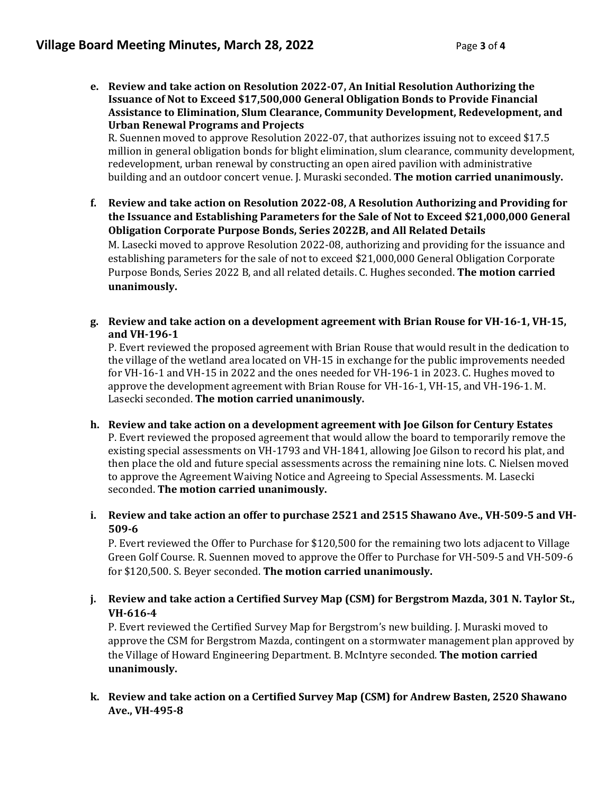**e. Review and take action on Resolution 2022-07, An Initial Resolution Authorizing the Issuance of Not to Exceed \$17,500,000 General Obligation Bonds to Provide Financial Assistance to Elimination, Slum Clearance, Community Development, Redevelopment, and Urban Renewal Programs and Projects**

R. Suennen moved to approve Resolution 2022-07, that authorizes issuing not to exceed \$17.5 million in general obligation bonds for blight elimination, slum clearance, community development, redevelopment, urban renewal by constructing an open aired pavilion with administrative building and an outdoor concert venue. J. Muraski seconded. **The motion carried unanimously.** 

- **f. Review and take action on Resolution 2022-08, A Resolution Authorizing and Providing for the Issuance and Establishing Parameters for the Sale of Not to Exceed \$21,000,000 General Obligation Corporate Purpose Bonds, Series 2022B, and All Related Details** M. Lasecki moved to approve Resolution 2022-08, authorizing and providing for the issuance and establishing parameters for the sale of not to exceed \$21,000,000 General Obligation Corporate Purpose Bonds, Series 2022 B, and all related details. C. Hughes seconded. **The motion carried unanimously.**
- **g. Review and take action on a development agreement with Brian Rouse for VH-16-1, VH-15, and VH-196-1**

P. Evert reviewed the proposed agreement with Brian Rouse that would result in the dedication to the village of the wetland area located on VH-15 in exchange for the public improvements needed for VH-16-1 and VH-15 in 2022 and the ones needed for VH-196-1 in 2023. C. Hughes moved to approve the development agreement with Brian Rouse for VH-16-1, VH-15, and VH-196-1. M. Lasecki seconded. **The motion carried unanimously.**

- **h. Review and take action on a development agreement with Joe Gilson for Century Estates** P. Evert reviewed the proposed agreement that would allow the board to temporarily remove the existing special assessments on VH-1793 and VH-1841, allowing Joe Gilson to record his plat, and then place the old and future special assessments across the remaining nine lots. C. Nielsen moved to approve the Agreement Waiving Notice and Agreeing to Special Assessments. M. Lasecki seconded. **The motion carried unanimously.**
- **i. Review and take action an offer to purchase 2521 and 2515 Shawano Ave., VH-509-5 and VH-509-6**

P. Evert reviewed the Offer to Purchase for \$120,500 for the remaining two lots adjacent to Village Green Golf Course. R. Suennen moved to approve the Offer to Purchase for VH-509-5 and VH-509-6 for \$120,500. S. Beyer seconded. **The motion carried unanimously.** 

**j. Review and take action a Certified Survey Map (CSM) for Bergstrom Mazda, 301 N. Taylor St., VH-616-4**

P. Evert reviewed the Certified Survey Map for Bergstrom's new building. J. Muraski moved to approve the CSM for Bergstrom Mazda, contingent on a stormwater management plan approved by the Village of Howard Engineering Department. B. McIntyre seconded. **The motion carried unanimously.** 

**k. Review and take action on a Certified Survey Map (CSM) for Andrew Basten, 2520 Shawano Ave., VH-495-8**